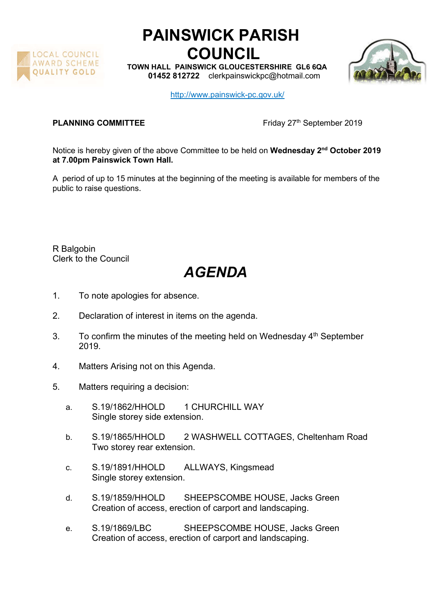

## PAINSWICK PARISH COUNCIL

TOWN HALL PAINSWICK GLOUCESTERSHIRE GL6 6QA 01452 812722 clerkpainswickpc@hotmail.com



http://www.painswick-pc.gov.uk/

PLANNING COMMITTEE Friday 27<sup>th</sup> September 2019

Notice is hereby given of the above Committee to be held on Wednesday 2<sup>nd</sup> October 2019 at 7.00pm Painswick Town Hall.

A period of up to 15 minutes at the beginning of the meeting is available for members of the public to raise questions.

R Balgobin Clerk to the Council

## AGENDA

- 1. To note apologies for absence.
- 2. Declaration of interest in items on the agenda.
- 3. To confirm the minutes of the meeting held on Wednesday  $4<sup>th</sup>$  September 2019.
- 4. Matters Arising not on this Agenda.
- 5. Matters requiring a decision:
	- a. S.19/1862/HHOLD 1 CHURCHILL WAY Single storey side extension.
	- b. S.19/1865/HHOLD 2 WASHWELL COTTAGES, Cheltenham Road Two storey rear extension.
	- c. S.19/1891/HHOLD ALLWAYS, Kingsmead Single storey extension.
	- d. S.19/1859/HHOLD SHEEPSCOMBE HOUSE, Jacks Green Creation of access, erection of carport and landscaping.
	- e. S.19/1869/LBC SHEEPSCOMBE HOUSE, Jacks Green Creation of access, erection of carport and landscaping.